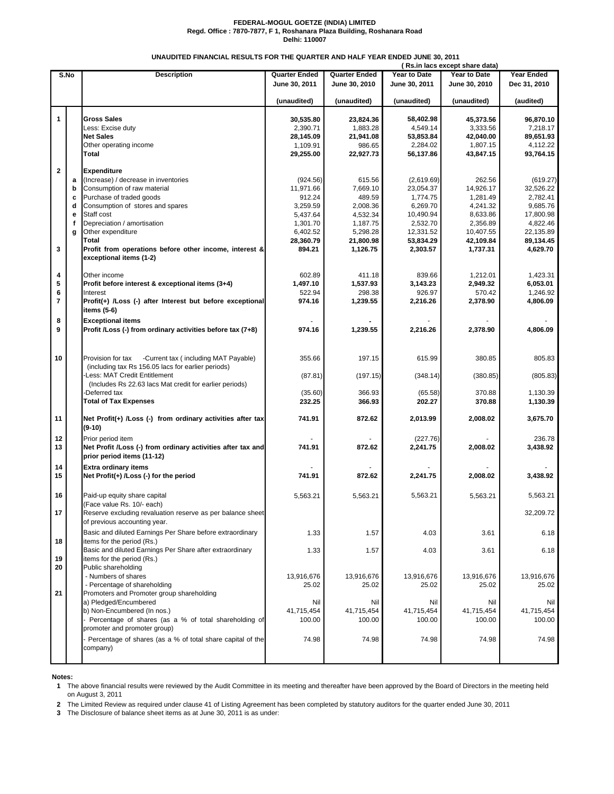## **FEDERAL-MOGUL GOETZE (INDIA) LIMITED Regd. Office : 7870-7877, F 1, Roshanara Plaza Building, Roshanara Road Delhi: 110007**

## **UNAUDITED FINANCIAL RESULTS FOR THE QUARTER AND HALF YEAR ENDED JUNE 30, 2011**

|              |   |                                                             |                                              |               |                     | (Rs.in lacs except share data) |                   |
|--------------|---|-------------------------------------------------------------|----------------------------------------------|---------------|---------------------|--------------------------------|-------------------|
| S.No         |   | <b>Description</b>                                          | <b>Quarter Ended</b><br><b>Quarter Ended</b> |               | <b>Year to Date</b> | Year to Date                   | <b>Year Ended</b> |
|              |   |                                                             | June 30, 2011                                | June 30, 2010 | June 30, 2011       | June 30, 2010                  | Dec 31, 2010      |
|              |   |                                                             |                                              |               |                     |                                |                   |
|              |   |                                                             | (unaudited)                                  | (unaudited)   | (unaudited)         | (unaudited)                    | (audited)         |
|              |   |                                                             |                                              |               |                     |                                |                   |
| 1            |   | <b>Gross Sales</b>                                          | 30,535.80                                    | 23,824.36     | 58,402.98           | 45,373.56                      | 96,870.10         |
|              |   | Less: Excise duty                                           | 2,390.71                                     | 1,883.28      | 4,549.14            | 3,333.56                       | 7,218.17          |
|              |   | <b>Net Sales</b>                                            | 28,145.09                                    | 21,941.08     | 53,853.84           | 42,040.00                      | 89,651.93         |
|              |   | Other operating income                                      | 1,109.91                                     | 986.65        | 2,284.02            | 1,807.15                       | 4,112.22          |
|              |   | Total                                                       | 29,255.00                                    | 22,927.73     | 56,137.86           | 43,847.15                      | 93,764.15         |
|              |   |                                                             |                                              |               |                     |                                |                   |
| $\mathbf{2}$ |   | <b>Expenditure</b>                                          |                                              |               |                     |                                |                   |
|              | a | (Increase) / decrease in inventories                        | (924.56)                                     | 615.56        | (2,619.69)          | 262.56                         | (619.27)          |
|              | b | Consumption of raw material                                 | 11,971.66                                    | 7.669.10      | 23,054.37           | 14,926.17                      | 32,526.22         |
|              | c | Purchase of traded goods                                    | 912.24                                       | 489.59        | 1,774.75            | 1,281.49                       | 2,782.41          |
|              | d | Consumption of stores and spares                            | 3,259.59                                     | 2,008.36      | 6,269.70            | 4,241.32                       | 9,685.76          |
|              |   |                                                             |                                              |               |                     |                                |                   |
|              | e | Staff cost                                                  | 5,437.64                                     | 4,532.34      | 10,490.94           | 8,633.86                       | 17,800.98         |
|              | f | Depreciation / amortisation                                 | 1,301.70                                     | 1,187.75      | 2,532.70            | 2,356.89                       | 4,822.46          |
|              | g | Other expenditure                                           | 6,402.52                                     | 5,298.28      | 12,331.52           | 10,407.55                      | 22,135.89         |
|              |   | <b>Total</b>                                                | 28,360.79                                    | 21,800.98     | 53,834.29           | 42,109.84                      | 89,134.45         |
| 3            |   | Profit from operations before other income, interest &      | 894.21                                       | 1,126.75      | 2,303.57            | 1,737.31                       | 4,629.70          |
|              |   | exceptional items (1-2)                                     |                                              |               |                     |                                |                   |
|              |   |                                                             |                                              |               |                     |                                |                   |
| 4            |   | Other income                                                | 602.89                                       | 411.18        | 839.66              | 1,212.01                       | 1,423.31          |
| 5            |   | Profit before interest & exceptional items (3+4)            | 1,497.10                                     | 1,537.93      | 3,143.23            | 2,949.32                       | 6,053.01          |
| 6            |   | Interest                                                    | 522.94                                       | 298.38        | 926.97              | 570.42                         | 1,246.92          |
| 7            |   | Profit(+) /Loss (-) after Interest but before exceptional   | 974.16                                       | 1,239.55      | 2,216.26            | 2,378.90                       | 4,806.09          |
|              |   | items (5-6)                                                 |                                              |               |                     |                                |                   |
| 8            |   | <b>Exceptional items</b>                                    |                                              |               |                     |                                |                   |
|              |   |                                                             |                                              |               |                     |                                |                   |
| 9            |   | Profit /Loss (-) from ordinary activities before tax (7+8)  | 974.16                                       | 1,239.55      | 2,216.26            | 2,378.90                       | 4,806.09          |
|              |   |                                                             |                                              |               |                     |                                |                   |
|              |   |                                                             |                                              |               |                     |                                |                   |
| 10           |   | -Current tax (including MAT Payable)<br>Provision for tax   | 355.66                                       | 197.15        | 615.99              | 380.85                         | 805.83            |
|              |   | (including tax Rs 156.05 lacs for earlier periods)          |                                              |               |                     |                                |                   |
|              |   | Less: MAT Credit Entitlement                                | (87.81)                                      | (197.15)      | (348.14)            | (380.85)                       | (805.83)          |
|              |   | (Includes Rs 22.63 lacs Mat credit for earlier periods)     |                                              |               |                     |                                |                   |
|              |   | Deferred tax                                                | (35.60)                                      | 366.93        | (65.58)             | 370.88                         | 1,130.39          |
|              |   | <b>Total of Tax Expenses</b>                                | 232.25                                       | 366.93        | 202.27              | 370.88                         | 1,130.39          |
|              |   |                                                             |                                              |               |                     |                                |                   |
| 11           |   | Net Profit(+) /Loss (-) from ordinary activities after tax  | 741.91                                       | 872.62        | 2,013.99            | 2,008.02                       | 3,675.70          |
|              |   | (9-10)                                                      |                                              |               |                     |                                |                   |
|              |   |                                                             |                                              |               |                     |                                |                   |
| 12           |   | Prior period item                                           |                                              |               | (227.76)            |                                | 236.78            |
| 13           |   | Net Profit /Loss (-) from ordinary activities after tax and | 741.91                                       | 872.62        | 2,241.75            | 2,008.02                       | 3,438.92          |
|              |   | prior period items (11-12)                                  |                                              |               |                     |                                |                   |
| 14           |   | <b>Extra ordinary items</b>                                 |                                              |               |                     |                                |                   |
| 15           |   | Net Profit(+) /Loss (-) for the period                      | 741.91                                       | 872.62        | 2,241.75            | 2,008.02                       | 3,438.92          |
|              |   |                                                             |                                              |               |                     |                                |                   |
|              |   |                                                             |                                              |               |                     |                                |                   |
| 16           |   | Paid-up equity share capital                                | 5,563.21                                     | 5,563.21      | 5,563.21            | 5,563.21                       | 5,563.21          |
|              |   | (Face value Rs. 10/- each)                                  |                                              |               |                     |                                |                   |
| 17           |   | Reserve excluding revaluation reserve as per balance sheet  |                                              |               |                     |                                | 32,209.72         |
|              |   | of previous accounting year.                                |                                              |               |                     |                                |                   |
|              |   | Basic and diluted Earnings Per Share before extraordinary   | 1.33                                         | 1.57          | 4.03                | 3.61                           | 6.18              |
| 18           |   | items for the period (Rs.)                                  |                                              |               |                     |                                |                   |
|              |   | Basic and diluted Earnings Per Share after extraordinary    | 1.33                                         | 1.57          | 4.03                | 3.61                           | 6.18              |
| 19           |   | items for the period (Rs.)                                  |                                              |               |                     |                                |                   |
| 20           |   | Public shareholding                                         |                                              |               |                     |                                |                   |
|              |   | - Numbers of shares                                         | 13,916,676                                   | 13,916,676    | 13,916,676          | 13,916,676                     | 13,916,676        |
|              |   | - Percentage of shareholding                                | 25.02                                        | 25.02         | 25.02               | 25.02                          | 25.02             |
| 21           |   | Promoters and Promoter group shareholding                   |                                              |               |                     |                                |                   |
|              |   |                                                             |                                              |               |                     |                                |                   |
|              |   | a) Pledged/Encumbered                                       | Nil                                          | Nil           | Nil                 | Nil                            | Nil               |
|              |   | b) Non-Encumbered (In nos.)                                 | 41,715,454                                   | 41,715,454    | 41,715,454          | 41,715,454                     | 41,715,454        |
|              |   | Percentage of shares (as a % of total shareholding of       | 100.00                                       | 100.00        | 100.00              | 100.00                         | 100.00            |
|              |   | promoter and promoter group)                                |                                              |               |                     |                                |                   |
|              |   | Percentage of shares (as a % of total share capital of the  | 74.98                                        | 74.98         | 74.98               | 74.98                          | 74.98             |
|              |   | company)                                                    |                                              |               |                     |                                |                   |
|              |   |                                                             |                                              |               |                     |                                |                   |
|              |   |                                                             |                                              |               |                     |                                |                   |

**Notes:**

**1** The above financial results were reviewed by the Audit Committee in its meeting and thereafter have been approved by the Board of Directors in the meeting held on August 3, 2011

**2** The Limited Review as required under clause 41 of Listing Agreement has been completed by statutory auditors for the quarter ended June 30, 2011

**3** The Disclosure of balance sheet items as at June 30, 2011 is as under: